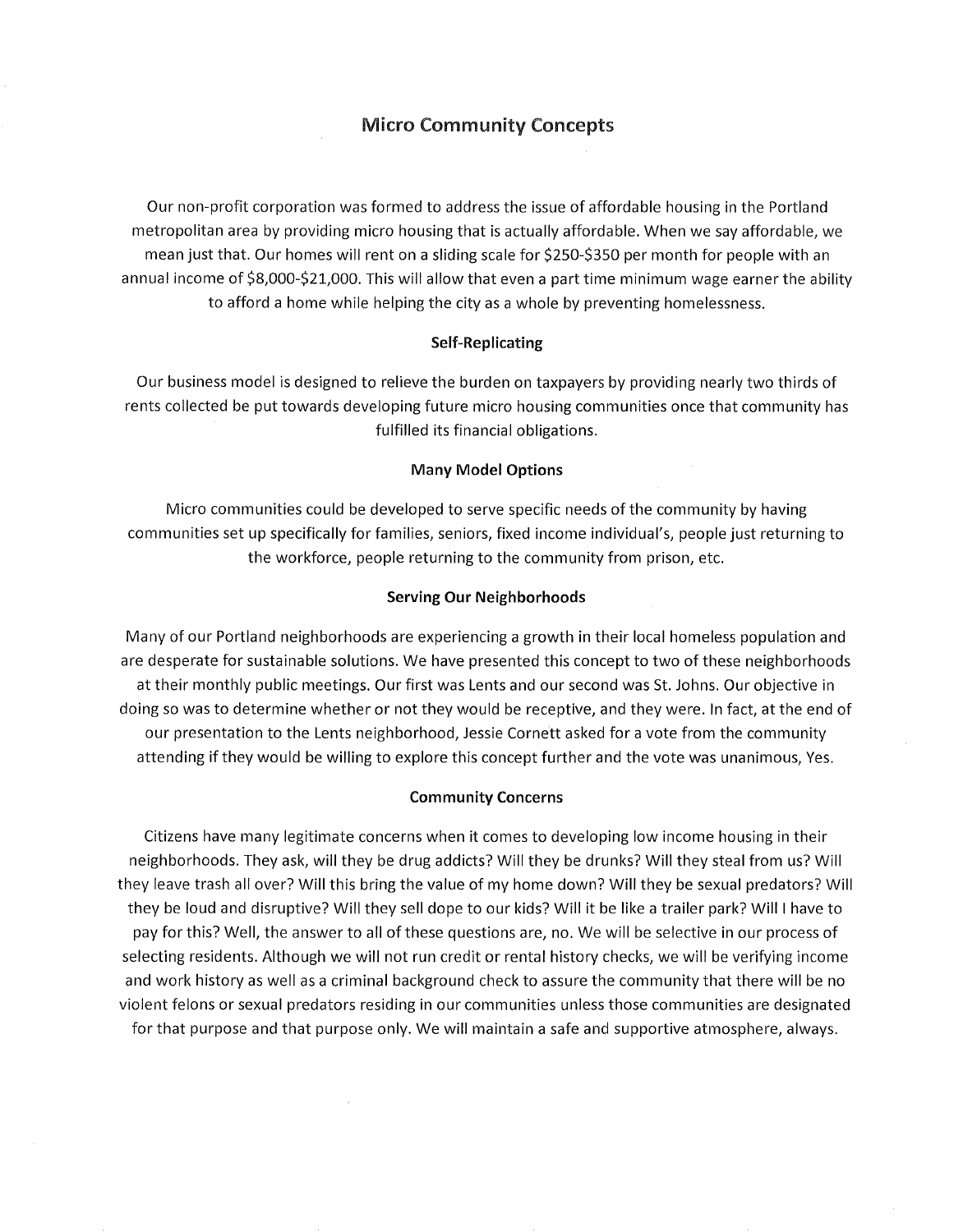# Micro Community Concepts

Our non-profit corporation was formed to address the issue of affordable housing in the Portland metropolitan area by providing micro housing that is actually affordable. When we say affordable, we mean just that. Our homes will rent on a sliding scale for \$250-\$350 per month for people with an annual income of \$8,000-\$21,000. This will allow that even a part time minimum wage earner the ability to afford a home while helping the city as a whole by preventing homelessness.

# Self-Replicating

Our business model is designed to relieve the burden on taxpayers by providing nearly two thirds of rents collected be put towards developing future micro housing communities once that community has fulfilled its financial obligations.

### Many Model Options

Micro communities could be developed to serve specific needs of the community by having communities set up specifically for families, seniors, fixed income individual's, people just returning to the workforce, people returning to the community from prison, etc.

### Serving Our Neighborhoods

Many of our Portland neighborhoods are experiencing a growth in their local homeless population and are desperate for sustainable solutions. We have presented this concept to two of these neighborhoods at their monthly public meetings. Our first was Lents and our second was St. Johns. Our objective in doing so was to determine whether or not they would be receptive, and they were. In fact, at the end of our presentation to the Lents neighborhood, Jessie Cornett asked for a vote from the community attending if they would be willing to explore this concept further and the vote was unanimous, Yes.

### Community Concerns

Citizens have many legitimate concerns when it comes to developing low income housing in their neighborhoods. They ask, will they be drug addicts? Will they be drunks? Will they steal from us? Will they leave trash all over? Will this bring the value of my home down? Will they be sexual predators? Will they be loud and disruptive? Will they sell dope to our kids? Will it be like a trailer park? Will I have to pay for this? Well, the answer to all of these questions are, no. We will be selective in our process of selecting residents. Although we will not run credit or rental history checks, we will be verifying income and work history as well as a criminal background check to assure the community that there will be no violent felons or sexual predators residing in our communities unless those communities are designated for that purpose and that purpose only. We will maintain a safe and supportive atmosphere, always.

 $\mathcal{A}$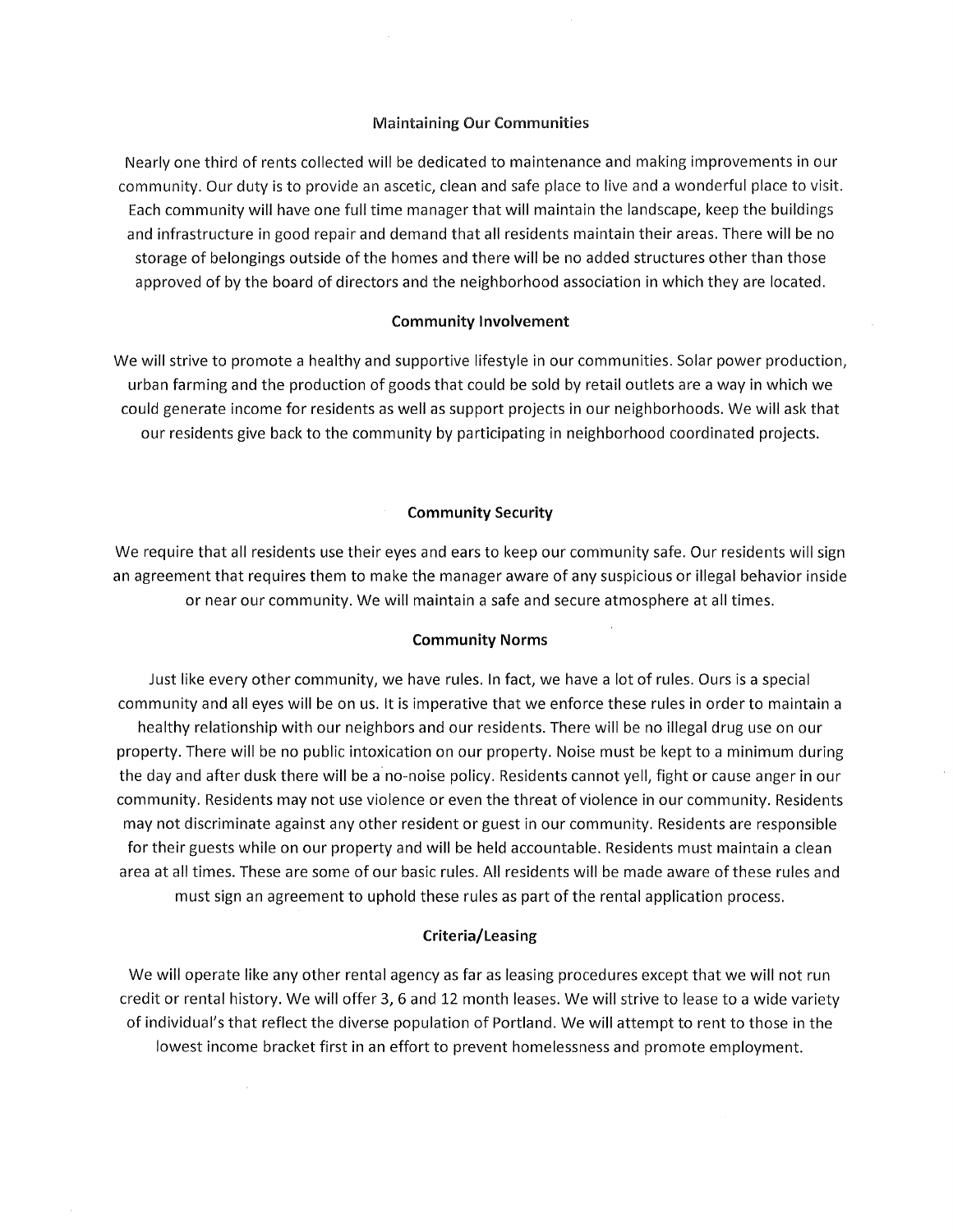### Maintaining Our Communities

Nearly one third of rents collected will be dedicated to maintenance and making improvements in our community. Our duty is to provide an ascetic, clean and safe place to live and a wonderful place to visit. Each community will have one full time manager that will maintain the landscape, keep the buildings and infrastructure in good repair and demand that all residents maintain their areas. There will be no storage of belongings outside of the homes and there will be no added structures other than those approved of by the board of directors and the neighborhood association in which they are located.

## **Community Involvement**

We will strive to promote a healthy and supportive lifestyle in our communities. Solar power production, urban farming and the production of goods that could be sold by retail outlets are a way in which we could generate income for residents as well as support projects in our neighborhoods. We will ask that our residents give back to the community by participating in neighborhood coordinated projects.

### **Community Security**

We require that all residents use their eyes and ears to keep our community safe. Our residents will sign an agreement that requires them to make the manager aware of any suspicious or illegal behavior inside or near our community. We will maintain a safe and secure atmosphere at all times.

### **Community Norms**

Just like every other community, we have rules. In fact, we have a lot of rules. Ours is a special community and all eyes will be on us. It is imperative that we enforce these rules in order to maintain a healthy relationship with our neighbors and our residents. There will be no illegal drug use on our property. There will be no public intoxication on our property. Noise must be kept to a minimum during the day and after dusk there will be a no-noise policy. Residents cannot yell, fight or cause anger in our community. Residents may not use violence or even the threat of violence in our community. Residents may not discriminate against any other resident or guest in our community. Residents are responsible for their guests while on our property and will be held accountable. Residents must maintain a clean area at all times. These are some of our basic rules. All residents will be made aware of these rules and must sign an agreement to uphold these rules as part of the rental application process.

#### **Criteria/Leasing**

We will operate like any other rental agency as far as leasing procedures except that we will not run credit or rental history. We will offer 3, 6 and 12 month leases. We will strive to lease to a wide variety of individual's that reflect the diverse population of Portland. We will attempt to rent to those in the lowest income bracket first in an effort to prevent homelessness and promote employment.